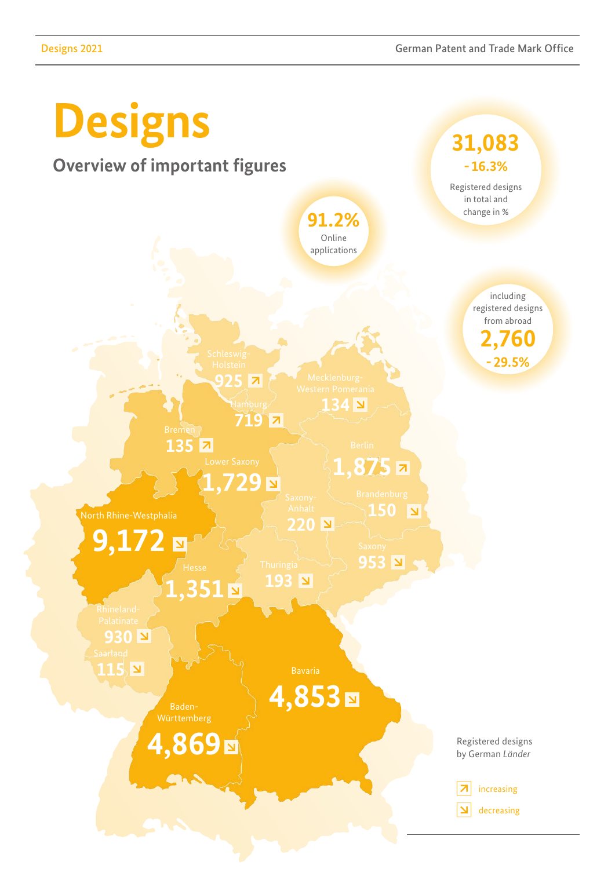